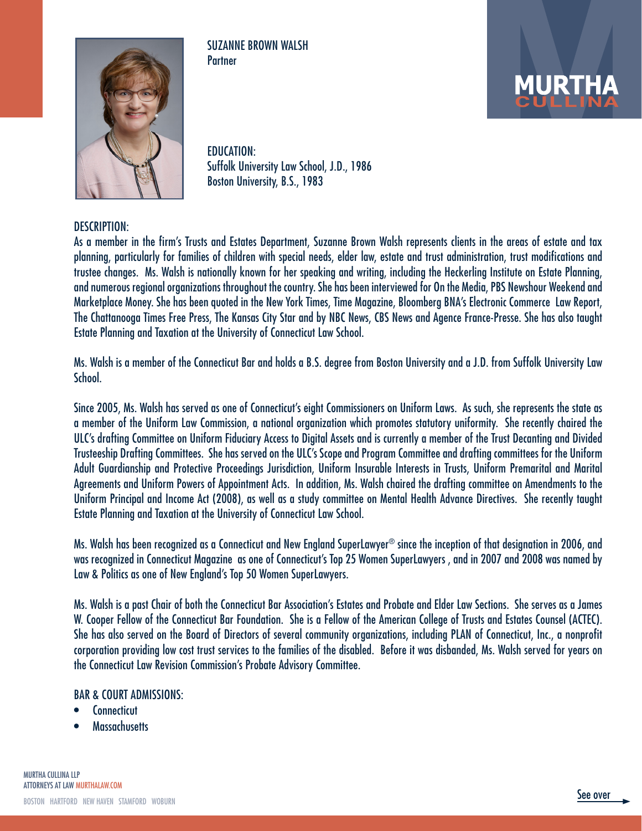

SUZANNE BROWN WALSH **Partner** 



EDUCATION: Suffolk University Law School, J.D., 1986 Boston University, B.S., 1983

#### DESCRIPTION:

As a member in the firm's Trusts and Estates Department, Suzanne Brown Walsh represents clients in the areas of estate and tax planning, particularly for families of children with special needs, elder law, estate and trust administration, trust modifications and trustee changes. Ms. Walsh is nationally known for her speaking and writing, including the Heckerling Institute on Estate Planning, and numerous regional organizations throughout the country. She has been interviewed for On the Media, PBS Newshour Weekend and Marketplace Money. She has been quoted in the New York Times, Time Magazine, Bloomberg BNA's Electronic Commerce Law Report, The Chattanooga Times Free Press, The Kansas City Star and by NBC News, CBS News and Agence France-Presse. She has also taught Estate Planning and Taxation at the University of Connecticut Law School.

Ms. Walsh is a member of the Connecticut Bar and holds a B.S. degree from Boston University and a J.D. from Suffolk University Law School.

Since 2005, Ms. Walsh has served as one of Connecticut's eight Commissioners on Uniform Laws. As such, she represents the state as a member of the Uniform Law Commission, a national organization which promotes statutory uniformity. She recently chaired the ULC's drafting Committee on Uniform Fiduciary Access to Digital Assets and is currently a member of the Trust Decanting and Divided Trusteeship Drafting Committees. She has served on the ULC's Scope and Program Committee and drafting committees for the Uniform Adult Guardianship and Protective Proceedings Jurisdiction, Uniform Insurable Interests in Trusts, Uniform Premarital and Marital Agreements and Uniform Powers of Appointment Acts. In addition, Ms. Walsh chaired the drafting committee on Amendments to the Uniform Principal and Income Act (2008), as well as a study committee on Mental Health Advance Directives. She recently taught Estate Planning and Taxation at the University of Connecticut Law School.

Ms. Walsh has been recognized as a Connecticut and New England SuperLawyer® since the inception of that designation in 2006, and was recognized in Connecticut Magazine as one of Connecticut's Top 25 Women SuperLawyers , and in 2007 and 2008 was named by Law & Politics as one of New England's Top 50 Women SuperLawyers.

Ms. Walsh is a past Chair of both the Connecticut Bar Association's Estates and Probate and Elder Law Sections. She serves as a James W. Cooper Fellow of the Connecticut Bar Foundation. She is a Fellow of the American College of Trusts and Estates Counsel (ACTEC). She has also served on the Board of Directors of several community organizations, including PLAN of Connecticut, Inc., a nonprofit corporation providing low cost trust services to the families of the disabled. Before it was disbanded, Ms. Walsh served for years on the Connecticut Law Revision Commission's Probate Advisory Committee.

#### BAR & COURT ADMISSIONS:

- **Connecticut**
- Massachusetts